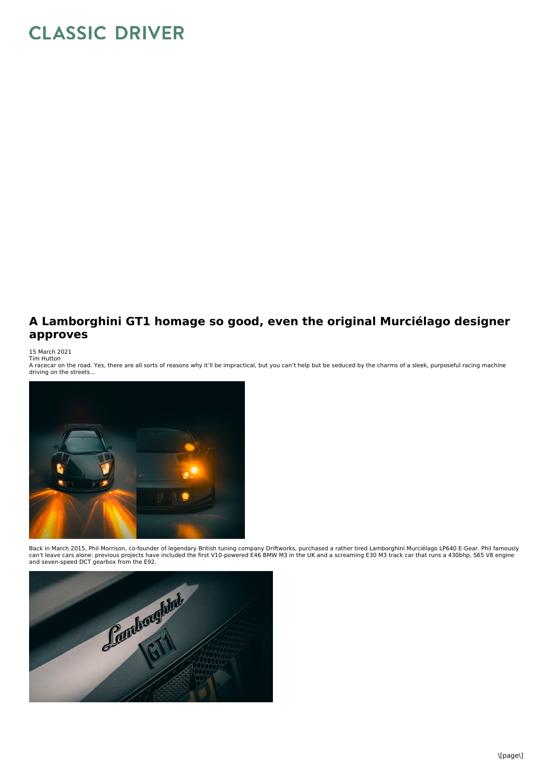## **CLASSIC DRIVER**

## **A Lamborghini GT1 homage so good, even the original Murciélago designer approves**

15 March 2021 Tim Hutton

A racecar on the road. Yes, there are all sorts of reasons why it'll be impractical, but you can't help but be seduced by the charms of a sleek, purposeful racing machine<br>driving on the streets...



Back in March 2015, Phil Morrison, co-founder of legendary British tuning company Driftworks, purchased a rather tired Lamborghini Murciélago LP640 E-Gear. Phil famously<br>can't leave cars alone: previous projects have inclu

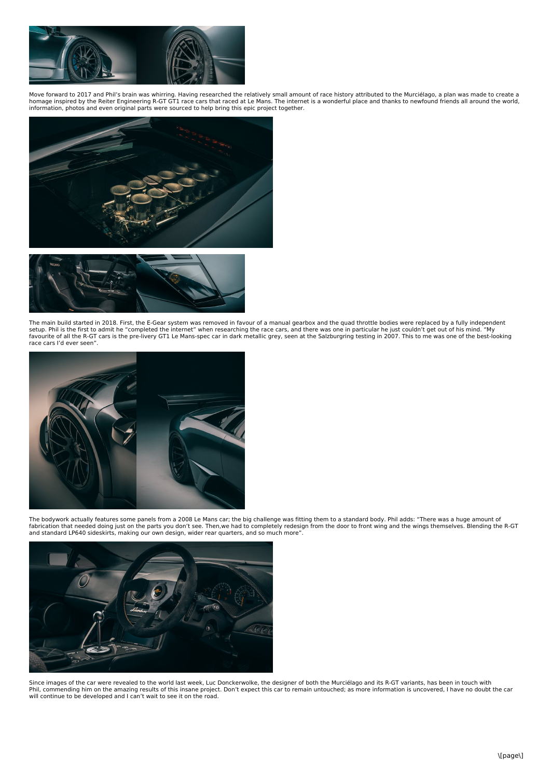

Move forward to 2017 and Phil's brain was whirring. Having researched the relatively small amount of race history attributed to the Murciélago, a plan was made to create a<br>homage inspired by the Reiter Engineering R-GT GT1 information, photos and even original parts were sourced to help bring this epic project together.





The main build started in 2018. First, the E-Gear system was removed in favour of a manual gearbox and the quad throttle bodies were replaced by a fully independent<br>setup. Phil is the first to admit he "completed the inter race cars I'd ever seen".



The bodywork actually features some panels from a 2008 Le Mans car; the big challenge was fitting them to a standard body. Phil adds: "There was a huge amount of<br>fabrication that needed doing just on the parts you don't se



Since images of the car were revealed to the world last week, Luc Donckerwolke, the designer of both the Murciélago and its R-GT variants, has been in touch with Phil, commending him on the amazing results of this insane project. Don't expect this car to remain untouched; as more information is uncovered, I have no doubt the car will continue to be developed and I can't wait to see it on the road.